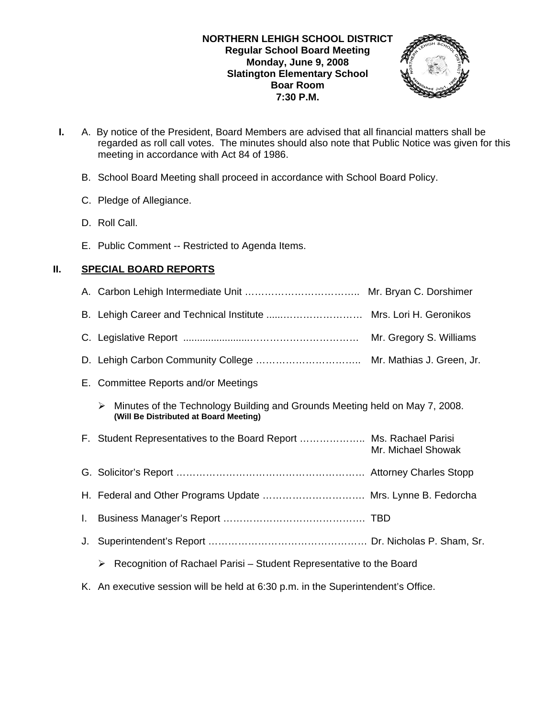

- **I.** A. By notice of the President, Board Members are advised that all financial matters shall be regarded as roll call votes. The minutes should also note that Public Notice was given for this meeting in accordance with Act 84 of 1986.
	- B. School Board Meeting shall proceed in accordance with School Board Policy.
	- C. Pledge of Allegiance.
	- D. Roll Call.
	- E. Public Comment -- Restricted to Agenda Items.

# **II. SPECIAL BOARD REPORTS**

|    | B. Lehigh Career and Technical Institute  Mrs. Lori H. Geronikos                                                           |                         |
|----|----------------------------------------------------------------------------------------------------------------------------|-------------------------|
|    |                                                                                                                            | Mr. Gregory S. Williams |
|    |                                                                                                                            |                         |
|    | E. Committee Reports and/or Meetings                                                                                       |                         |
|    | Minutes of the Technology Building and Grounds Meeting held on May 7, 2008.<br>➤<br>(Will Be Distributed at Board Meeting) |                         |
|    | F. Student Representatives to the Board Report  Ms. Rachael Parisi                                                         | Mr. Michael Showak      |
|    |                                                                                                                            |                         |
|    | H. Federal and Other Programs Update  Mrs. Lynne B. Fedorcha                                                               |                         |
|    |                                                                                                                            |                         |
| J. |                                                                                                                            |                         |
|    | Recognition of Rachael Parisi – Student Representative to the Board<br>≻                                                   |                         |
|    |                                                                                                                            |                         |

K. An executive session will be held at 6:30 p.m. in the Superintendent's Office.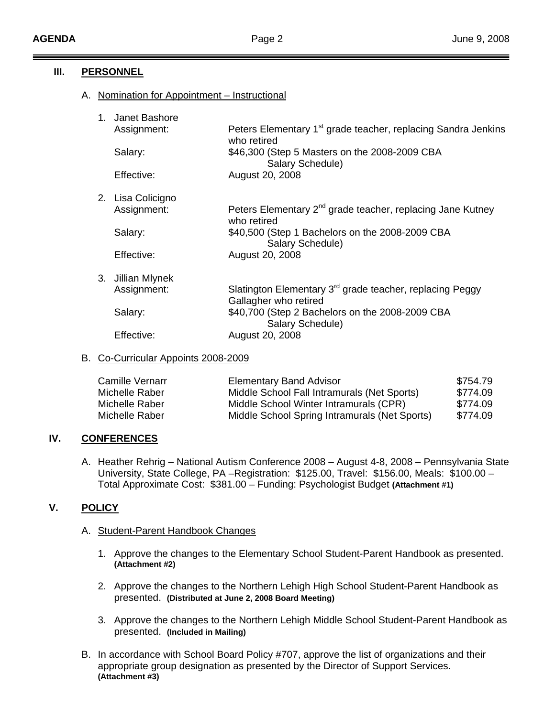## **III. PERSONNEL**

A. Nomination for Appointment – Instructional

|  | 1. Janet Bashore  |                                                                                               |  |  |
|--|-------------------|-----------------------------------------------------------------------------------------------|--|--|
|  | Assignment:       | Peters Elementary 1 <sup>st</sup> grade teacher, replacing Sandra Jenkins<br>who retired      |  |  |
|  | Salary:           | \$46,300 (Step 5 Masters on the 2008-2009 CBA<br>Salary Schedule)                             |  |  |
|  | Effective:        | August 20, 2008                                                                               |  |  |
|  | 2. Lisa Colicigno |                                                                                               |  |  |
|  | Assignment:       | Peters Elementary 2 <sup>nd</sup> grade teacher, replacing Jane Kutney<br>who retired         |  |  |
|  | Salary:           | \$40,500 (Step 1 Bachelors on the 2008-2009 CBA<br>Salary Schedule)                           |  |  |
|  | Effective:        | August 20, 2008                                                                               |  |  |
|  | 3. Jillian Mlynek |                                                                                               |  |  |
|  | Assignment:       | Slatington Elementary 3 <sup>rd</sup> grade teacher, replacing Peggy<br>Gallagher who retired |  |  |
|  | Salary:           | \$40,700 (Step 2 Bachelors on the 2008-2009 CBA<br>Salary Schedule)                           |  |  |
|  | Effective:        | August 20, 2008                                                                               |  |  |

## B. Co-Curricular Appoints 2008-2009

| <b>Camille Vernarr</b> | <b>Elementary Band Advisor</b>                | \$754.79 |
|------------------------|-----------------------------------------------|----------|
| Michelle Raber         | Middle School Fall Intramurals (Net Sports)   | \$774.09 |
| Michelle Raber         | Middle School Winter Intramurals (CPR)        | \$774.09 |
| Michelle Raber         | Middle School Spring Intramurals (Net Sports) | \$774.09 |

## **IV. CONFERENCES**

A. Heather Rehrig – National Autism Conference 2008 – August 4-8, 2008 – Pennsylvania State University, State College, PA –Registration: \$125.00, Travel: \$156.00, Meals: \$100.00 – Total Approximate Cost: \$381.00 – Funding: Psychologist Budget **(Attachment #1)**

# **V. POLICY**

#### A. Student-Parent Handbook Changes

- 1. Approve the changes to the Elementary School Student-Parent Handbook as presented. **(Attachment #2)**
- 2. Approve the changes to the Northern Lehigh High School Student-Parent Handbook as presented. **(Distributed at June 2, 2008 Board Meeting)**
- 3. Approve the changes to the Northern Lehigh Middle School Student-Parent Handbook as presented. **(Included in Mailing)**
- B. In accordance with School Board Policy #707, approve the list of organizations and their appropriate group designation as presented by the Director of Support Services. **(Attachment #3)**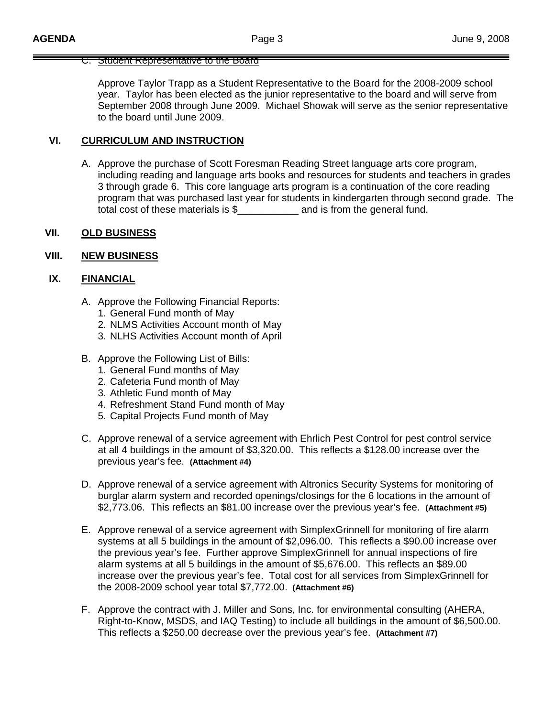#### C. Student Representative to the Board

 Approve Taylor Trapp as a Student Representative to the Board for the 2008-2009 school year. Taylor has been elected as the junior representative to the board and will serve from September 2008 through June 2009. Michael Showak will serve as the senior representative to the board until June 2009.

## **VI. CURRICULUM AND INSTRUCTION**

A. Approve the purchase of Scott Foresman Reading Street language arts core program, including reading and language arts books and resources for students and teachers in grades 3 through grade 6. This core language arts program is a continuation of the core reading program that was purchased last year for students in kindergarten through second grade. The total cost of these materials is \$\_\_\_\_\_\_\_\_\_\_\_ and is from the general fund.

#### **VII. OLD BUSINESS**

#### **VIII. NEW BUSINESS**

## **IX. FINANCIAL**

- A. Approve the Following Financial Reports:
	- 1. General Fund month of May
	- 2. NLMS Activities Account month of May
	- 3. NLHS Activities Account month of April
- B. Approve the Following List of Bills:
	- 1. General Fund months of May
	- 2. Cafeteria Fund month of May
	- 3. Athletic Fund month of May
	- 4. Refreshment Stand Fund month of May
	- 5. Capital Projects Fund month of May
- C. Approve renewal of a service agreement with Ehrlich Pest Control for pest control service at all 4 buildings in the amount of \$3,320.00. This reflects a \$128.00 increase over the previous year's fee. **(Attachment #4)**
- D. Approve renewal of a service agreement with Altronics Security Systems for monitoring of burglar alarm system and recorded openings/closings for the 6 locations in the amount of \$2,773.06. This reflects an \$81.00 increase over the previous year's fee. **(Attachment #5)**
- E. Approve renewal of a service agreement with SimplexGrinnell for monitoring of fire alarm systems at all 5 buildings in the amount of \$2,096.00. This reflects a \$90.00 increase over the previous year's fee. Further approve SimplexGrinnell for annual inspections of fire alarm systems at all 5 buildings in the amount of \$5,676.00. This reflects an \$89.00 increase over the previous year's fee. Total cost for all services from SimplexGrinnell for the 2008-2009 school year total \$7,772.00. **(Attachment #6)**
- F. Approve the contract with J. Miller and Sons, Inc. for environmental consulting (AHERA, Right-to-Know, MSDS, and IAQ Testing) to include all buildings in the amount of \$6,500.00. This reflects a \$250.00 decrease over the previous year's fee. **(Attachment #7)**